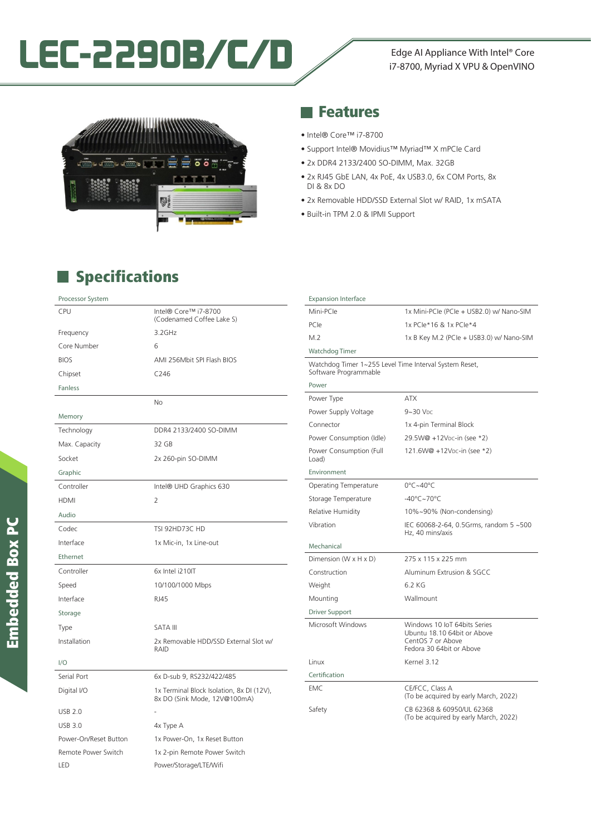# LEC-2290B/C/D<br>
Fdge AI Appliance With Intel® Core

## i7-8700, Myriad X VPU & OpenVINO



#### **Features**

- Intel® Core™ i7-8700
- Support Intel® Movidius™ Myriad™ X mPCIe Card
- 2x DDR4 2133/2400 SO-DIMM, Max. 32GB
- 2x RJ45 GbE LAN, 4x PoE, 4x USB3.0, 6x COM Ports, 8x DI & 8x DO
- 2x Removable HDD/SSD External Slot w/ RAID, 1x mSATA
- Built-in TPM 2.0 & IPMI Support

### **Specifications**

| Processor System      |                                                                           |
|-----------------------|---------------------------------------------------------------------------|
| CPU                   | Intel® Core™ i7-8700<br>(Codenamed Coffee Lake S)                         |
| Frequency             | 3.2GHz                                                                    |
| Core Number           | 6                                                                         |
| <b>BIOS</b>           | AMI 256Mbit SPI Flash BIOS                                                |
| Chipset               | C <sub>246</sub>                                                          |
| <b>Fanless</b>        |                                                                           |
|                       | No                                                                        |
| Memory                |                                                                           |
| Technology            | DDR4 2133/2400 SO-DIMM                                                    |
| Max. Capacity         | 32 GB                                                                     |
| Socket                | 2x 260-pin SO-DIMM                                                        |
| Graphic               |                                                                           |
| Controller            | Intel® UHD Graphics 630                                                   |
| <b>HDMI</b>           | 2                                                                         |
| Audio                 |                                                                           |
| Codec                 | TSI 92HD73C HD                                                            |
| Interface             | 1x Mic-in, 1x Line-out                                                    |
| Ethernet              |                                                                           |
| Controller            | 6x Intel i210IT                                                           |
| Speed                 | 10/100/1000 Mbps                                                          |
| Interface             | <b>RJ45</b>                                                               |
| Storage               |                                                                           |
| Type                  | <b>SATA III</b>                                                           |
| Installation          | 2x Removable HDD/SSD External Slot w/<br>RAID                             |
| 1/O                   |                                                                           |
| Serial Port           | 6x D-sub 9, RS232/422/485                                                 |
| Digital I/O           | 1x Terminal Block Isolation, 8x DI (12V),<br>8x DO (Sink Mode, 12V@100mA) |
| <b>USB 2.0</b>        |                                                                           |
| <b>USB 3.0</b>        | 4x Type A                                                                 |
| Power-On/Reset Button | 1x Power-On, 1x Reset Button                                              |
| Remote Power Switch   | 1x 2-pin Remote Power Switch                                              |
| LED                   | Power/Storage/LTE/Wifi                                                    |

| <b>Expansion Interface</b>                                                      |                                                                                                              |
|---------------------------------------------------------------------------------|--------------------------------------------------------------------------------------------------------------|
| Mini-PCIe                                                                       | 1x Mini-PCle (PCle + USB2.0) w/ Nano-SIM                                                                     |
| PCle                                                                            | 1x PCle*16 & 1x PCle*4                                                                                       |
| M.2                                                                             | 1x B Key M.2 (PCle + USB3.0) w/ Nano-SIM                                                                     |
| Watchdog Timer                                                                  |                                                                                                              |
| Watchdog Timer 1~255 Level Time Interval System Reset,<br>Software Programmable |                                                                                                              |
| Power                                                                           |                                                                                                              |
| Power Type                                                                      | <b>ATX</b>                                                                                                   |
| Power Supply Voltage                                                            | $9 - 30$ Vpc                                                                                                 |
| Connector                                                                       | 1x 4-pin Terminal Block                                                                                      |
| Power Consumption (Idle)                                                        | 29.5W@ +12Vpc-in (see *2)                                                                                    |
| Power Consumption (Full<br>Load)                                                | 121.6W@ +12Vpc-in (see *2)                                                                                   |
| Environment                                                                     |                                                                                                              |
| Operating Temperature                                                           | 0°C~40°C                                                                                                     |
| Storage Temperature                                                             | $-40^{\circ}$ C $-70^{\circ}$ C                                                                              |
| Relative Humidity                                                               | 10%~90% (Non-condensing)                                                                                     |
| Vibration                                                                       | IEC 60068-2-64, 0.5Grms, random 5 ~500<br>Hz, 40 mins/axis                                                   |
| Mechanical                                                                      |                                                                                                              |
| Dimension (W x H x D)                                                           | 275 x 115 x 225 mm                                                                                           |
| Construction                                                                    | Aluminum Extrusion & SGCC                                                                                    |
| Weight                                                                          | 6.2 KG                                                                                                       |
| Mounting                                                                        | Wallmount                                                                                                    |
| Driver Support                                                                  |                                                                                                              |
| Microsoft Windows                                                               | Windows 10 IoT 64bits Series<br>Ubuntu 18.10 64bit or Above<br>CentOS 7 or Above<br>Fedora 30 64bit or Above |
| Linux                                                                           | Kernel 3.12                                                                                                  |
| Certification                                                                   |                                                                                                              |
| <b>EMC</b>                                                                      | CE/FCC, Class A<br>(To be acquired by early March, 2022)                                                     |
| Safety                                                                          | CB 62368 & 60950/UL 62368<br>(To be acquired by early March, 2022)                                           |